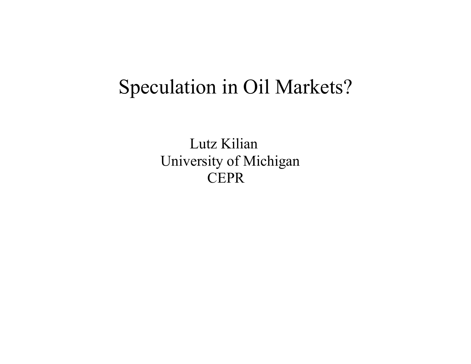# Speculation in Oil Markets?

 Lutz Kilian University of Michigan **CEPR**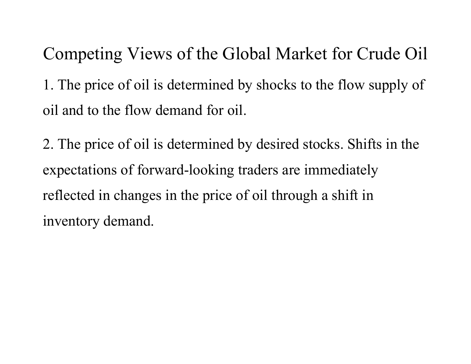Competing Views of the Global Market for Crude Oil 1. The price of oil is determined by shocks to the flow supply of oil and to the flow demand for oil.

2. The price of oil is determined by desired stocks. Shifts in the expectations of forward-looking traders are immediately reflected in changes in the price of oil through a shift in inventory demand.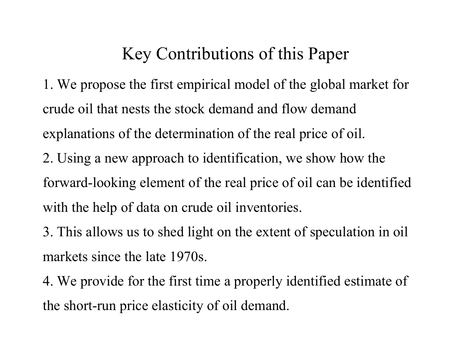### Key Contributions of this Paper

1. We propose the first empirical model of the global market for crude oil that nests the stock demand and flow demand explanations of the determination of the real price of oil. 2. Using a new approach to identification, we show how the forward-looking element of the real price of oil can be identified with the help of data on crude oil inventories.

3. This allows us to shed light on the extent of speculation in oil markets since the late 1970s.

4. We provide for the first time a properly identified estimate of the short-run price elasticity of oil demand.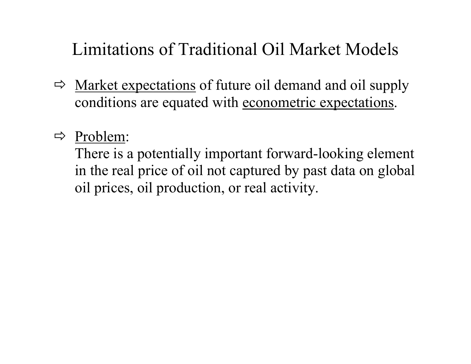# Limitations of Traditional Oil Market Models

- $\Rightarrow$  Market expectations of future oil demand and oil supply conditions are equated with econometric expectations.
- $\Rightarrow$  Problem:

There is a potentially important forward-looking element in the real price of oil not captured by past data on global oil prices, oil production, or real activity.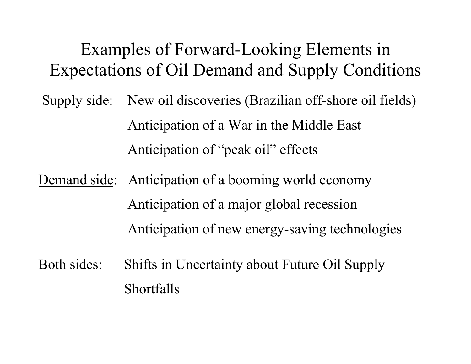# Examples of Forward-Looking Elements in Expectations of Oil Demand and Supply Conditions

- Supply side: New oil discoveries (Brazilian off-shore oil fields) Anticipation of a War in the Middle East Anticipation of "peak oil" effects
- Demand side: Anticipation of a booming world economy Anticipation of a major global recession Anticipation of new energy-saving technologies
- Both sides: Shifts in Uncertainty about Future Oil Supply Shortfalls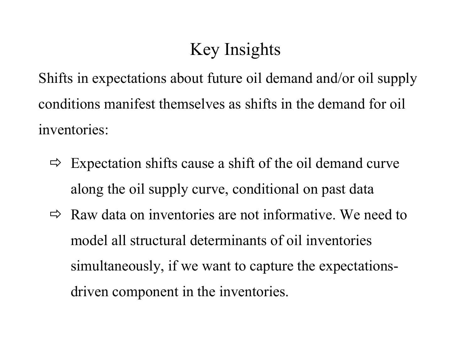# Key Insights

Shifts in expectations about future oil demand and/or oil supply conditions manifest themselves as shifts in the demand for oil inventories:

- $\Rightarrow$  Expectation shifts cause a shift of the oil demand curve along the oil supply curve, conditional on past data
- $\Rightarrow$  Raw data on inventories are not informative. We need to model all structural determinants of oil inventories simultaneously, if we want to capture the expectationsdriven component in the inventories.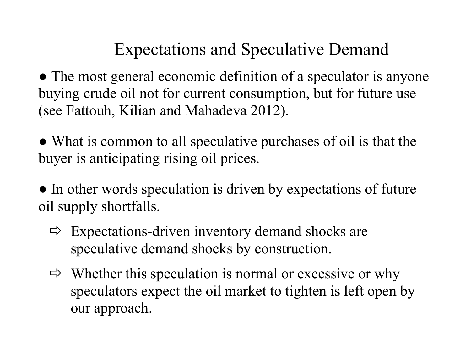# Expectations and Speculative Demand

• The most general economic definition of a speculator is anyone buying crude oil not for current consumption, but for future use (see Fattouh, Kilian and Mahadeva 2012).

• What is common to all speculative purchases of oil is that the buyer is anticipating rising oil prices.

• In other words speculation is driven by expectations of future oil supply shortfalls.

- $\Rightarrow$  Expectations-driven inventory demand shocks are speculative demand shocks by construction.
- $\Rightarrow$  Whether this speculation is normal or excessive or why speculators expect the oil market to tighten is left open by our approach.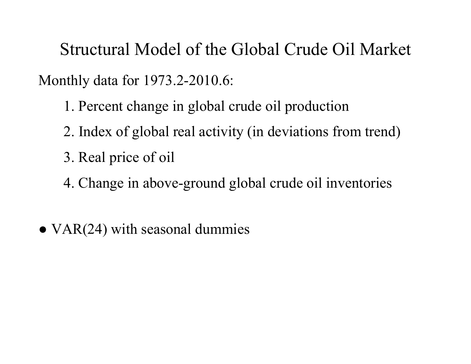Structural Model of the Global Crude Oil Market Monthly data for 1973.2-2010.6:

- 1. Percent change in global crude oil production
- 2. Index of global real activity (in deviations from trend)
- 3. Real price of oil
- 4. Change in above-ground global crude oil inventories
- $\bullet$  VAR(24) with seasonal dummies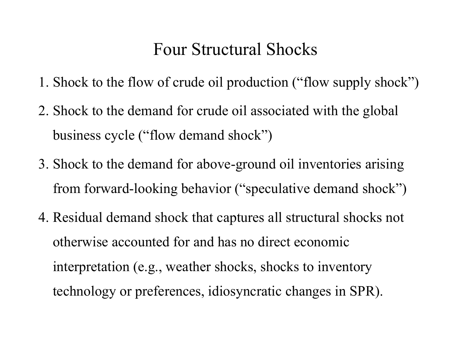#### Four Structural Shocks

- 1. Shock to the flow of crude oil production ("flow supply shock")
- 2. Shock to the demand for crude oil associated with the global business cycle ("flow demand shock")
- 3. Shock to the demand for above-ground oil inventories arising from forward-looking behavior ("speculative demand shock")
- 4. Residual demand shock that captures all structural shocks not otherwise accounted for and has no direct economic interpretation (e.g., weather shocks, shocks to inventory technology or preferences, idiosyncratic changes in SPR).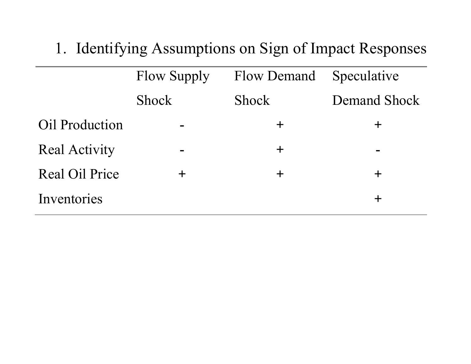1. Identifying Assumptions on Sign of Impact Responses

|                       | <b>Flow Supply</b><br><b>Flow Demand</b> |              | Speculative         |
|-----------------------|------------------------------------------|--------------|---------------------|
|                       | <b>Shock</b>                             | <b>Shock</b> | <b>Demand Shock</b> |
| Oil Production        | $\blacksquare$                           | ╈            | 十                   |
| <b>Real Activity</b>  |                                          | $\pm$        | $\blacksquare$      |
| <b>Real Oil Price</b> | ┿                                        | $\pm$        | $\boldsymbol{+}$    |
| Inventories           |                                          |              |                     |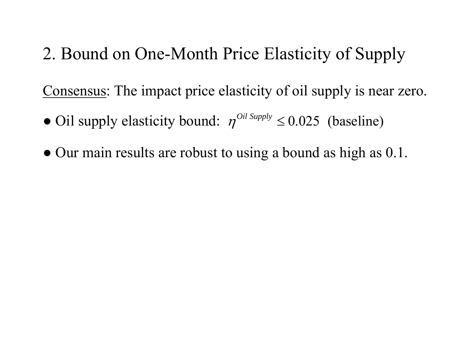2. Bound on One-Month Price Elasticity of Supply

Consensus: The impact price elasticity of oil supply is near zero.

- Oil supply elasticity bound:  $\eta^{Oil \text{ Supply}} \leq 0.025$  (baseline)
- Our main results are robust to using a bound as high as 0.1.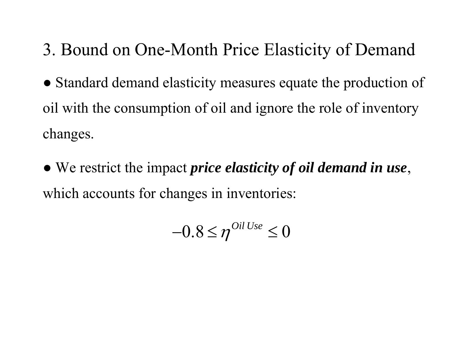# 3. Bound on One-Month Price Elasticity of Demand

- Standard demand elasticity measures equate the production of oil with the consumption of oil and ignore the role of inventory changes.
- We restrict the impact *price elasticity of oil demand in use*, which accounts for changes in inventories:

$$
-0.8 \leq \eta^{Oil\,Use} \leq 0
$$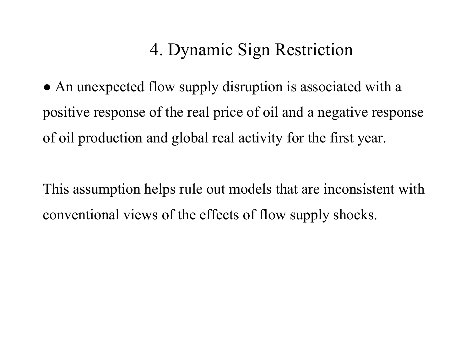### 4. Dynamic Sign Restriction

• An unexpected flow supply disruption is associated with a positive response of the real price of oil and a negative response of oil production and global real activity for the first year.

This assumption helps rule out models that are inconsistent with conventional views of the effects of flow supply shocks.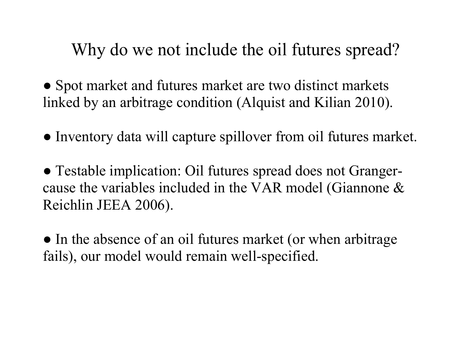Why do we not include the oil futures spread?

• Spot market and futures market are two distinct markets linked by an arbitrage condition (Alquist and Kilian 2010).

● Inventory data will capture spillover from oil futures market.

● Testable implication: Oil futures spread does not Grangercause the variables included in the VAR model (Giannone & Reichlin JEEA 2006).

• In the absence of an oil futures market (or when arbitrage fails), our model would remain well-specified.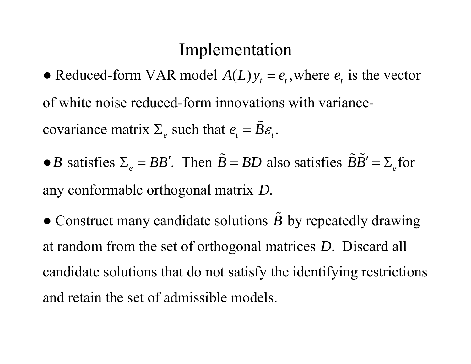#### Implementation

- Reduced-form VAR model  $A(L) y_t = e_t$ , where  $e_t$  is the vector of white noise reduced-form innovations with variancecovariance matrix  $\Sigma_e$  such that  $e_t = \tilde{B} \varepsilon_t$ .
- *B* satisfies  $\Sigma_e = BB'$ . Then  $\tilde{B}$  $B = BD$  also satisfies  $BB' = \sum_{e}$  $\mathbf{\tilde{p}}\mathbf{\tilde{R}^{\prime}}$  $\prime = \Sigma$  for any conformable orthogonal matrix *D*.

 $\bullet$  Construct many candidate solutions  $\tilde{B}$  by repeatedly drawing at random from the set of orthogonal matrices *D*. Discard all candidate solutions that do not satisfy the identifying restrictions and retain the set of admissible models.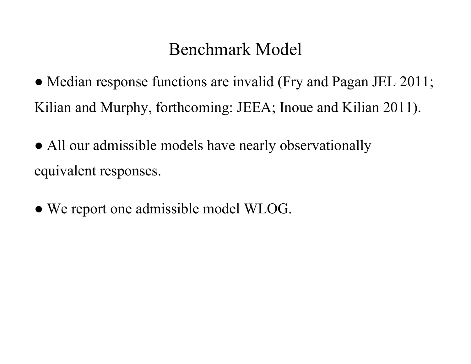### Benchmark Model

• Median response functions are invalid (Fry and Pagan JEL 2011; Kilian and Murphy, forthcoming: JEEA; Inoue and Kilian 2011).

- All our admissible models have nearly observationally equivalent responses.
- We report one admissible model WLOG.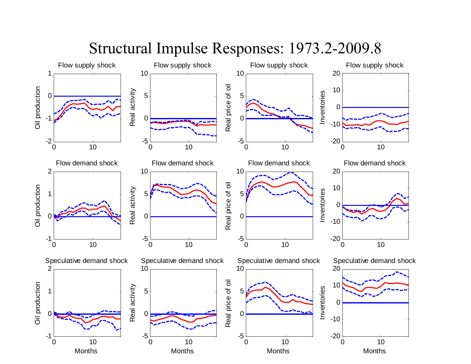

#### Structural Impulse Responses: 1973.2-2009.8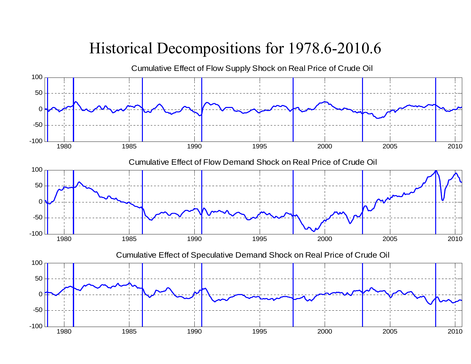#### Historical Decompositions for 1978.6-2010.6

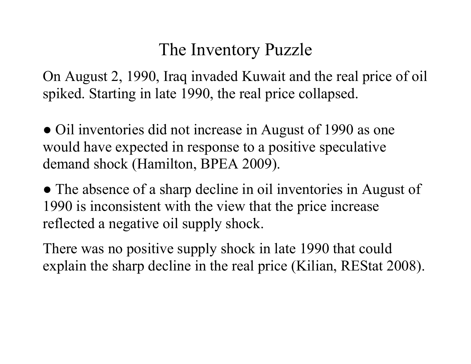### The Inventory Puzzle

On August 2, 1990, Iraq invaded Kuwait and the real price of oil spiked. Starting in late 1990, the real price collapsed.

• Oil inventories did not increase in August of 1990 as one would have expected in response to a positive speculative demand shock (Hamilton, BPEA 2009).

● The absence of a sharp decline in oil inventories in August of 1990 is inconsistent with the view that the price increase reflected a negative oil supply shock.

There was no positive supply shock in late 1990 that could explain the sharp decline in the real price (Kilian, REStat 2008).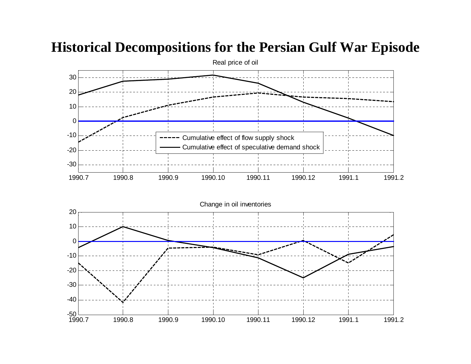#### 1990.7 1990.8 1990.9 1990.10 1990.11 1990.12 1991.1 1991.2 -30 -20 -10010 20 30Real price of oil Cumulative effect of flow supply shock Cumulative effect of speculative demand shock 1990.7 1990.8 1990.9 1990.10 1990.11 1990.12 1991.1 1991.2 -50 -40-30 -20 -10010 20 Change in oil inventories

#### **Historical Decompositions for the Persian Gulf War Episode**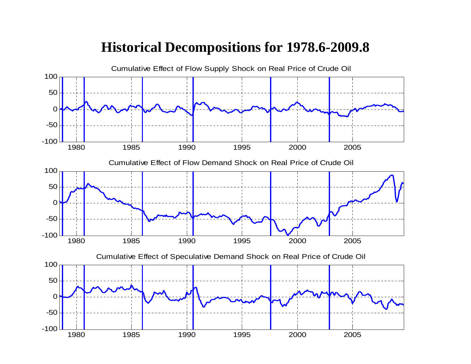#### **Historical Decompositions for 1978.6-2009.8**

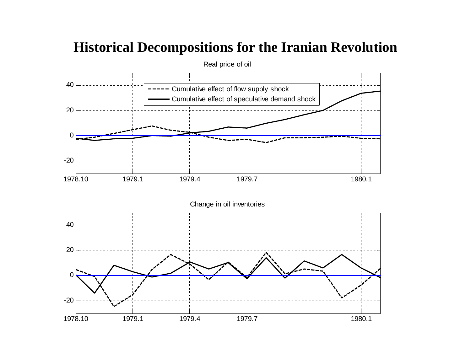#### Real price of oil 40Cumulative effect of flow supply shock Cumulative effect of speculative demand shock 200 ---20 1978.10 1979.1 1979.4 1979.7 1980.1 Change in oil inventories 4020  $\Omega$ -20 1978.101979.1 1979.4 1979.7 1980.1

#### **Historical Decompositions for the Iranian Revolution**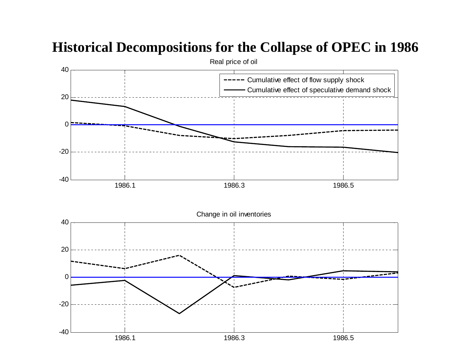#### **Historical Decompositions for the Collapse of OPEC in 1986**

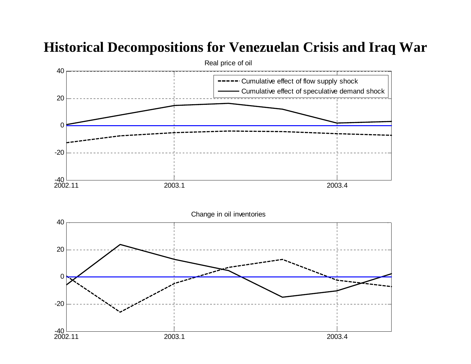#### **Historical Decompositions for Venezuelan Crisis and Iraq War**

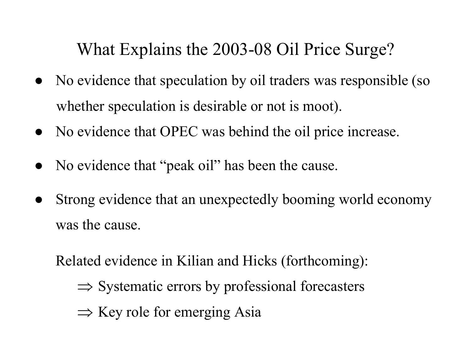What Explains the 2003-08 Oil Price Surge?

- No evidence that speculation by oil traders was responsible (so whether speculation is desirable or not is moot).
- No evidence that OPEC was behind the oil price increase.
- No evidence that "peak oil" has been the cause.
- Strong evidence that an unexpectedly booming world economy was the cause.

Related evidence in Kilian and Hicks (forthcoming):

- $\Rightarrow$  Systematic errors by professional forecasters
- $\Rightarrow$  Key role for emerging Asia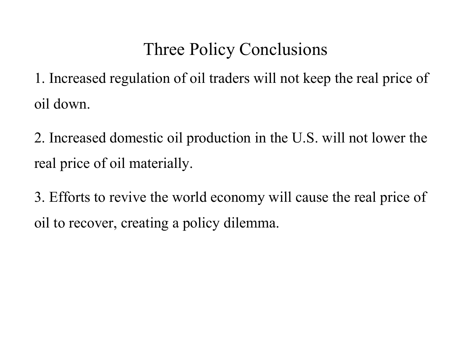# Three Policy Conclusions

1. Increased regulation of oil traders will not keep the real price of oil down.

2. Increased domestic oil production in the U.S. will not lower the real price of oil materially.

3. Efforts to revive the world economy will cause the real price of oil to recover, creating a policy dilemma.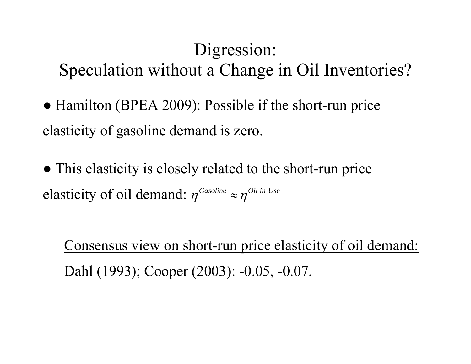# Digression: Speculation without a Change in Oil Inventories?

- Hamilton (BPEA 2009): Possible if the short-run price elasticity of gasoline demand is zero.
- This elasticity is closely related to the short-run price elasticity of oil demand:  $\eta^{Gasoline} \approx \eta^{Oil\ln Use}$

Consensus view on short-run price elasticity of oil demand: Dahl (1993); Cooper (2003): -0.05, -0.07.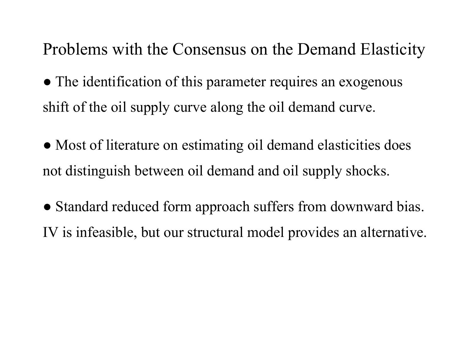Problems with the Consensus on the Demand Elasticity

- The identification of this parameter requires an exogenous shift of the oil supply curve along the oil demand curve.
- Most of literature on estimating oil demand elasticities does not distinguish between oil demand and oil supply shocks.
- Standard reduced form approach suffers from downward bias. IV is infeasible, but our structural model provides an alternative.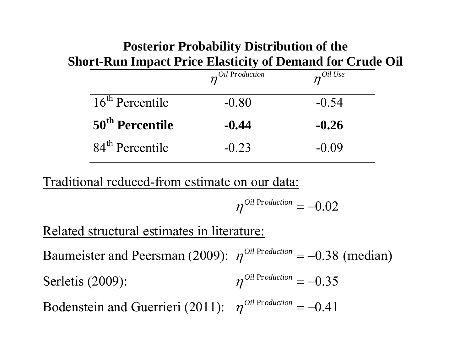#### **Posterior Probability Distribution of the Short-Run Impact Price Elasticity of Demand for Crude Oil**

|                             | $n^{Oil\ {\rm Fr}\,oduction}$ | $n^{Oil\,Use}$ |
|-----------------------------|-------------------------------|----------------|
| $16th$ Percentile           | $-0.80$                       | $-0.54$        |
| 50 <sup>th</sup> Percentile | $-0.44$                       | $-0.26$        |
| 84 <sup>th</sup> Percentile | $-0.23$                       | $-0.09$        |

Traditional reduced-from estimate on our data:

$$
\eta^{0il\,\mathrm{Pr}\,oduction}=-0.02
$$

Related structural estimates in literature:

Baumeister and Peersman (2009):  $\eta^{Oil\ Production} = -0.38$  $-0.38$  (median) Serletis (2009):  $\eta^{Oil\ Production} = -0.35$ Bodenstein and Guerrieri (2011):  $\eta^{Oil\ Production} = -0.41$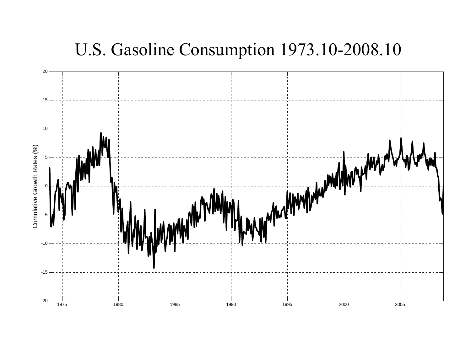#### U.S. Gasoline Consumption 1973.10-2008.10

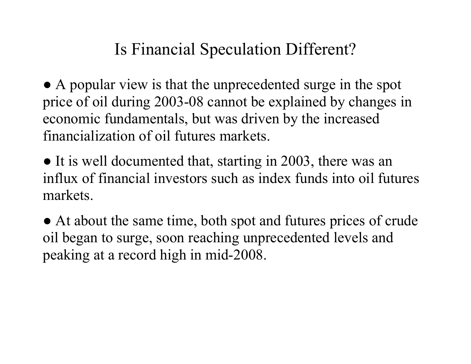#### Is Financial Speculation Different?

• A popular view is that the unprecedented surge in the spot price of oil during 2003-08 cannot be explained by changes in economic fundamentals, but was driven by the increased financialization of oil futures markets.

• It is well documented that, starting in 2003, there was an influx of financial investors such as index funds into oil futures markets.

● At about the same time, both spot and futures prices of crude oil began to surge, soon reaching unprecedented levels and peaking at a record high in mid-2008.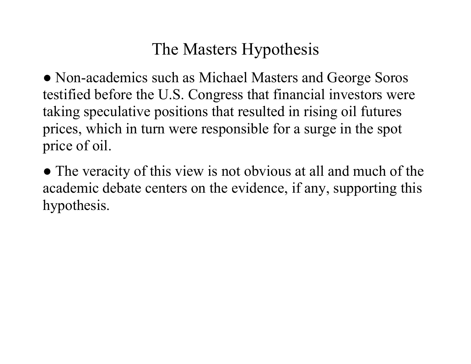#### The Masters Hypothesis

• Non-academics such as Michael Masters and George Soros testified before the U.S. Congress that financial investors were taking speculative positions that resulted in rising oil futures prices, which in turn were responsible for a surge in the spot price of oil.

• The veracity of this view is not obvious at all and much of the academic debate centers on the evidence, if any, supporting this hypothesis.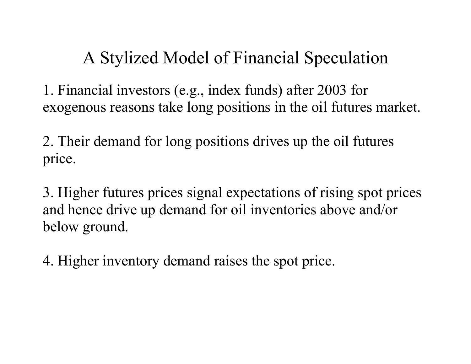# A Stylized Model of Financial Speculation

1. Financial investors (e.g., index funds) after 2003 for exogenous reasons take long positions in the oil futures market.

2. Their demand for long positions drives up the oil futures price.

3. Higher futures prices signal expectations of rising spot prices and hence drive up demand for oil inventories above and/or below ground.

4. Higher inventory demand raises the spot price.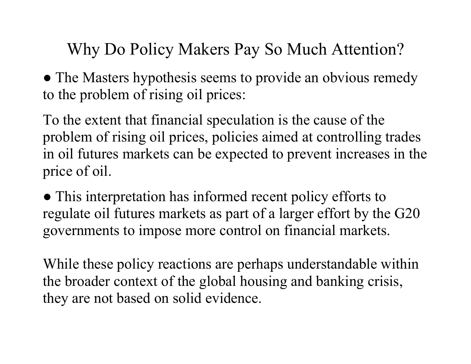Why Do Policy Makers Pay So Much Attention?

• The Masters hypothesis seems to provide an obvious remedy to the problem of rising oil prices:

To the extent that financial speculation is the cause of the problem of rising oil prices, policies aimed at controlling trades in oil futures markets can be expected to prevent increases in the price of oil.

• This interpretation has informed recent policy efforts to regulate oil futures markets as part of a larger effort by the G20 governments to impose more control on financial markets.

While these policy reactions are perhaps understandable within the broader context of the global housing and banking crisis, they are not based on solid evidence.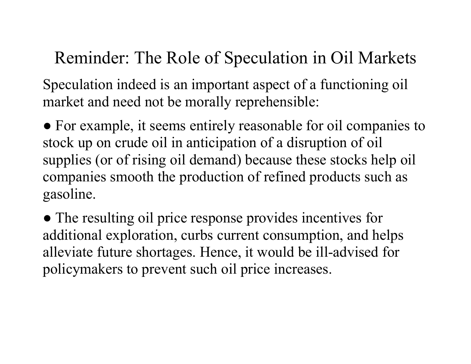# Reminder: The Role of Speculation in Oil Markets

Speculation indeed is an important aspect of a functioning oil market and need not be morally reprehensible:

● For example, it seems entirely reasonable for oil companies to stock up on crude oil in anticipation of a disruption of oil supplies (or of rising oil demand) because these stocks help oil companies smooth the production of refined products such as gasoline.

• The resulting oil price response provides incentives for additional exploration, curbs current consumption, and helps alleviate future shortages. Hence, it would be ill-advised for policymakers to prevent such oil price increases.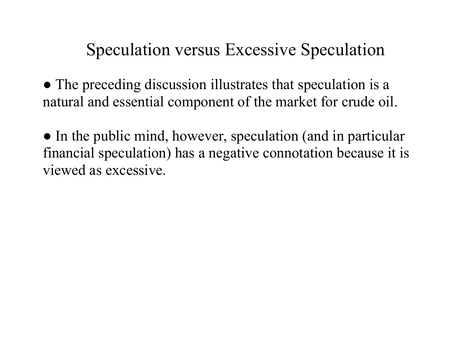# Speculation versus Excessive Speculation

• The preceding discussion illustrates that speculation is a natural and essential component of the market for crude oil.

• In the public mind, however, speculation (and in particular financial speculation) has a negative connotation because it is viewed as excessive.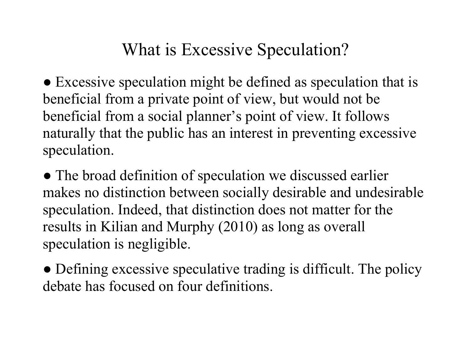# What is Excessive Speculation?

• Excessive speculation might be defined as speculation that is beneficial from a private point of view, but would not be beneficial from a social planner's point of view. It follows naturally that the public has an interest in preventing excessive speculation.

• The broad definition of speculation we discussed earlier makes no distinction between socially desirable and undesirable speculation. Indeed, that distinction does not matter for the results in Kilian and Murphy (2010) as long as overall speculation is negligible.

• Defining excessive speculative trading is difficult. The policy debate has focused on four definitions.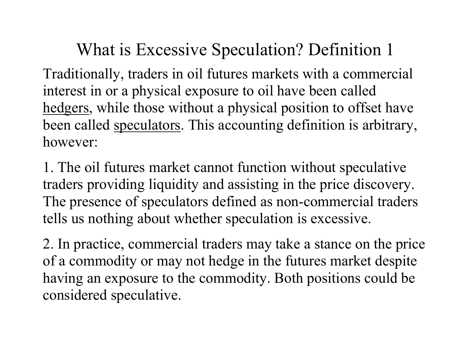Traditionally, traders in oil futures markets with a commercial interest in or a physical exposure to oil have been called hedgers, while those without a physical position to offset have been called speculators. This accounting definition is arbitrary, however:

1. The oil futures market cannot function without speculative traders providing liquidity and assisting in the price discovery. The presence of speculators defined as non-commercial traders tells us nothing about whether speculation is excessive.

2. In practice, commercial traders may take a stance on the price of a commodity or may not hedge in the futures market despite having an exposure to the commodity. Both positions could be considered speculative.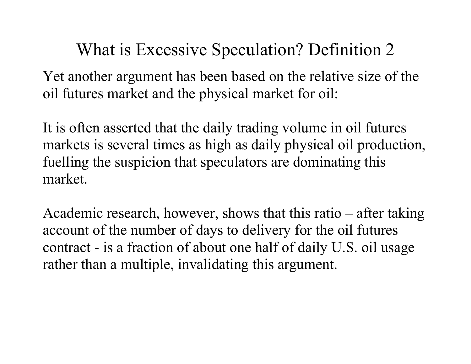Yet another argument has been based on the relative size of the oil futures market and the physical market for oil:

It is often asserted that the daily trading volume in oil futures markets is several times as high as daily physical oil production, fuelling the suspicion that speculators are dominating this market.

Academic research, however, shows that this ratio – after taking account of the number of days to delivery for the oil futures contract - is a fraction of about one half of daily U.S. oil usage rather than a multiple, invalidating this argument.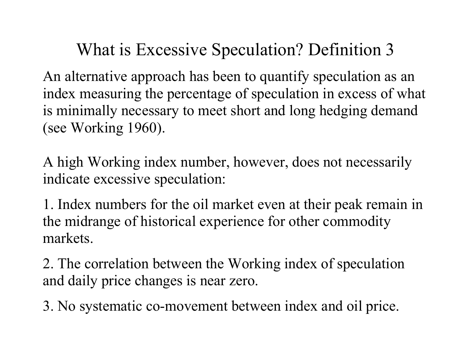An alternative approach has been to quantify speculation as an index measuring the percentage of speculation in excess of what is minimally necessary to meet short and long hedging demand (see Working 1960).

A high Working index number, however, does not necessarily indicate excessive speculation:

1. Index numbers for the oil market even at their peak remain in the midrange of historical experience for other commodity markets.

2. The correlation between the Working index of speculation and daily price changes is near zero.

3. No systematic co-movement between index and oil price.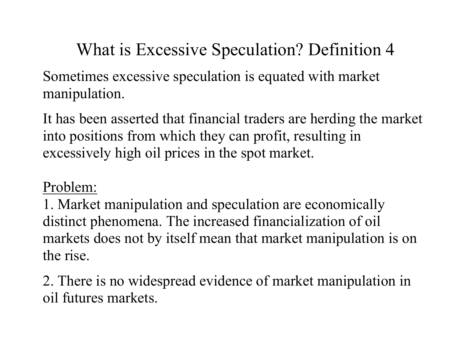Sometimes excessive speculation is equated with market manipulation.

It has been asserted that financial traders are herding the market into positions from which they can profit, resulting in excessively high oil prices in the spot market.

#### Problem:

1. Market manipulation and speculation are economically distinct phenomena. The increased financialization of oil markets does not by itself mean that market manipulation is on the rise.

2. There is no widespread evidence of market manipulation in oil futures markets.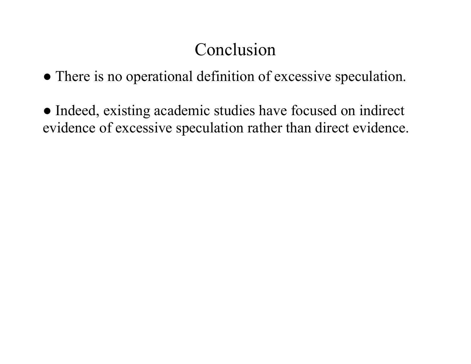# Conclusion

- There is no operational definition of excessive speculation.
- Indeed, existing academic studies have focused on indirect evidence of excessive speculation rather than direct evidence.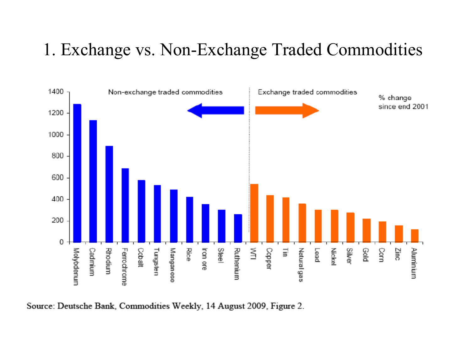#### 1. Exchange vs. Non-Exchange Traded Commodities



Source: Deutsche Bank, Commodities Weekly, 14 August 2009, Figure 2.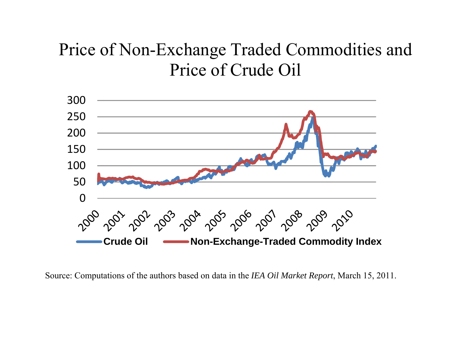### Price of Non-Exchange Traded Commodities and Price of Crude Oil



Source: Computations of the authors based on data in the *IEA Oil Market Report*, March 15, 2011.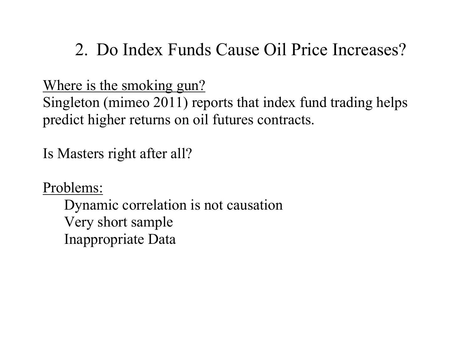### 2. Do Index Funds Cause Oil Price Increases?

Where is the smoking gun?

Singleton (mimeo 2011) reports that index fund trading helps predict higher returns on oil futures contracts.

Is Masters right after all?

Problems:

Dynamic correlation is not causation Very short sample Inappropriate Data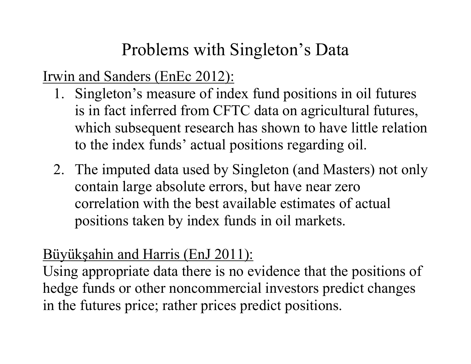# Problems with Singleton's Data

Irwin and Sanders (EnEc 2012):

- 1. Singleton's measure of index fund positions in oil futures is in fact inferred from CFTC data on agricultural futures, which subsequent research has shown to have little relation to the index funds' actual positions regarding oil.
- 2. The imputed data used by Singleton (and Masters) not only contain large absolute errors, but have near zero correlation with the best available estimates of actual positions taken by index funds in oil markets.

#### Büyük şahin and Harris (EnJ 2011):

Using appropriate data there is no evidence that the positions of hedge funds or other noncommercial investors predict changes in the futures price; rather prices predict positions.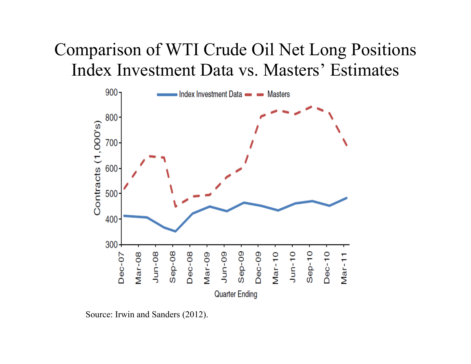### Comparison of WTI Crude Oil Net Long Positions Index Investment Data vs. Masters' Estimates



Source: Irwin and Sanders (2012).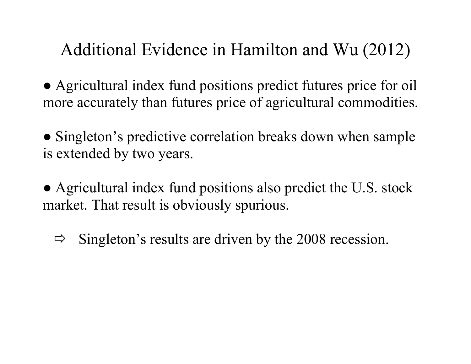Additional Evidence in Hamilton and Wu (2012)

• Agricultural index fund positions predict futures price for oil more accurately than futures price of agricultural commodities.

• Singleton's predictive correlation breaks down when sample is extended by two years.

• Agricultural index fund positions also predict the U.S. stock market. That result is obviously spurious.

 $\Rightarrow$  Singleton's results are driven by the 2008 recession.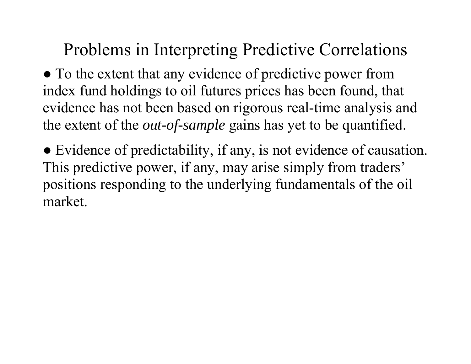Problems in Interpreting Predictive Correlations

● To the extent that any evidence of predictive power from index fund holdings to oil futures prices has been found, that evidence has not been based on rigorous real-time analysis and the extent of the *out-of-sample* gains has yet to be quantified.

● Evidence of predictability, if any, is not evidence of causation. This predictive power, if any, may arise simply from traders' positions responding to the underlying fundamentals of the oil market.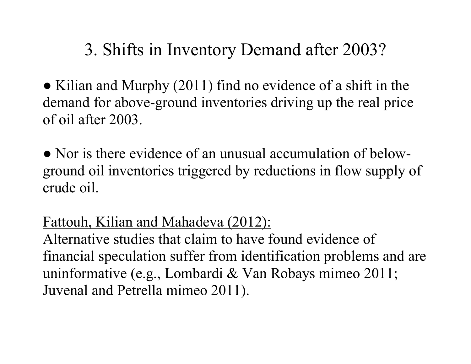# 3. Shifts in Inventory Demand after 2003?

• Kilian and Murphy (2011) find no evidence of a shift in the demand for above-ground inventories driving up the real price of oil after 2003.

• Nor is there evidence of an unusual accumulation of belowground oil inventories triggered by reductions in flow supply of crude oil.

#### Fattouh, Kilian and Mahadeva (2012):

Alternative studies that claim to have found evidence of financial speculation suffer from identification problems and are uninformative (e.g., Lombardi & Van Robays mimeo 2011; Juvenal and Petrella mimeo 2011).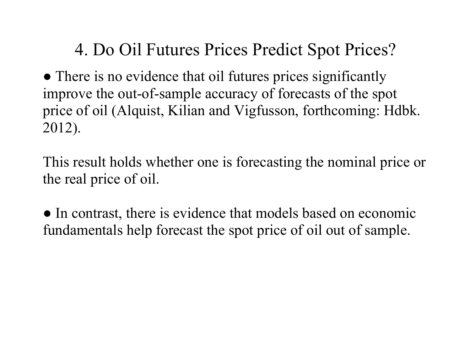# 4. Do Oil Futures Prices Predict Spot Prices?

● There is no evidence that oil futures prices significantly improve the out-of-sample accuracy of forecasts of the spot price of oil (Alquist, Kilian and Vigfusson, forthcoming: Hdbk. 2012).

This result holds whether one is forecasting the nominal price or the real price of oil.

• In contrast, there is evidence that models based on economic fundamentals help forecast the spot price of oil out of sample.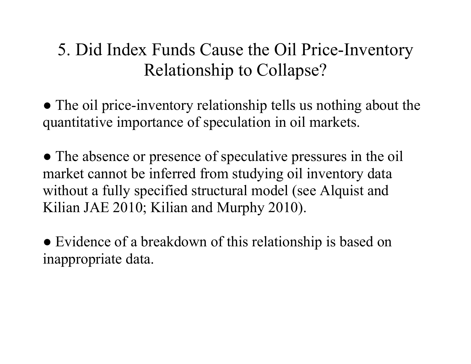# 5. Did Index Funds Cause the Oil Price-Inventory Relationship to Collapse?

- The oil price-inventory relationship tells us nothing about the quantitative importance of speculation in oil markets.
- The absence or presence of speculative pressures in the oil market cannot be inferred from studying oil inventory data without a fully specified structural model (see Alquist and Kilian JAE 2010; Kilian and Murphy 2010).
- Evidence of a breakdown of this relationship is based on inappropriate data.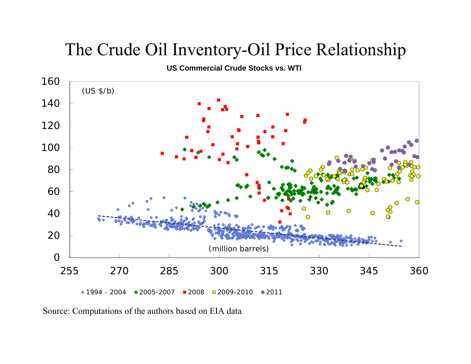### The Crude Oil Inventory-Oil Price Relationship

**US Commercial Crude Stocks vs. WTI**



Source: Computations of the authors based on EIA data.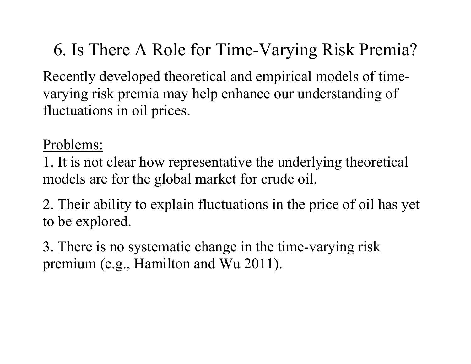6. Is There A Role for Time-Varying Risk Premia?

Recently developed theoretical and empirical models of timevarying risk premia may help enhance our understanding of fluctuations in oil prices.

Problems:

1. It is not clear how representative the underlying theoretical models are for the global market for crude oil.

2. Their ability to explain fluctuations in the price of oil has yet to be explored.

3. There is no systematic change in the time-varying risk premium (e.g., Hamilton and Wu 2011).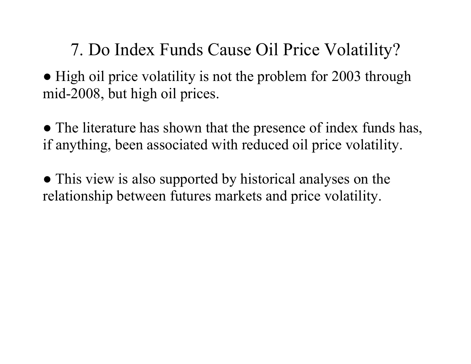7. Do Index Funds Cause Oil Price Volatility?

• High oil price volatility is not the problem for 2003 through mid-2008, but high oil prices.

• The literature has shown that the presence of index funds has, if anything, been associated with reduced oil price volatility.

• This view is also supported by historical analyses on the relationship between futures markets and price volatility.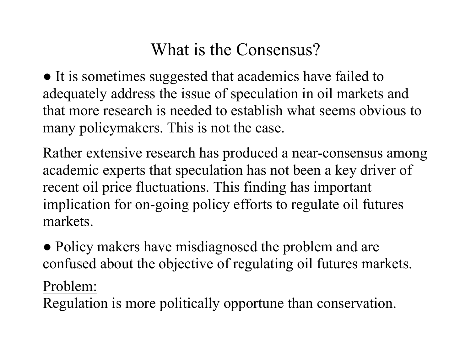# What is the Consensus?

● It is sometimes suggested that academics have failed to adequately address the issue of speculation in oil markets and that more research is needed to establish what seems obvious to many policymakers. This is not the case.

Rather extensive research has produced a near-consensus among academic experts that speculation has not been a key driver of recent oil price fluctuations. This finding has important implication for on-going policy efforts to regulate oil futures markets.

• Policy makers have misdiagnosed the problem and are confused about the objective of regulating oil futures markets.

Problem:

Regulation is more politically opportune than conservation.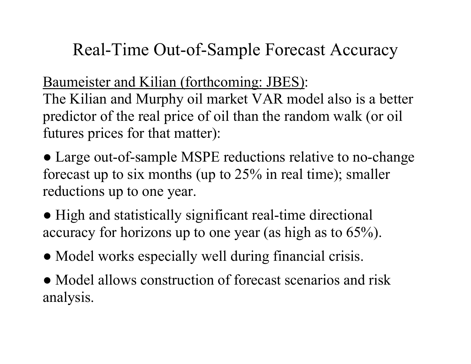# Real-Time Out-of-Sample Forecast Accuracy

Baumeister and Kilian (forthcoming: JBES):

The Kilian and Murphy oil market VAR model also is a better predictor of the real price of oil than the random walk (or oil futures prices for that matter):

• Large out-of-sample MSPE reductions relative to no-change forecast up to six months (up to 25% in real time); smaller reductions up to one year.

• High and statistically significant real-time directional accuracy for horizons up to one year (as high as to 65%).

- Model works especially well during financial crisis.
- Model allows construction of forecast scenarios and risk analysis.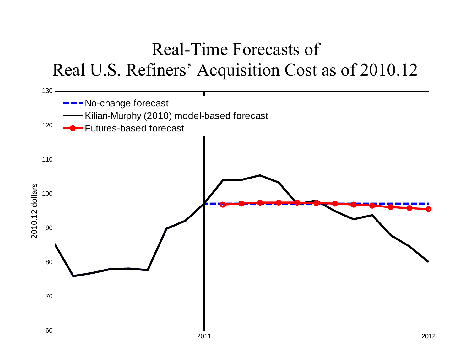# Real-Time Forecasts of Real U.S. Refiners' Acquisition Cost as of 2010.12

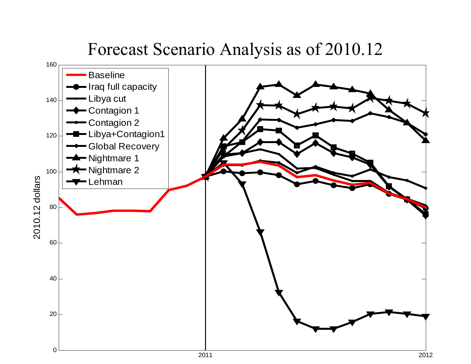### Forecast Scenario Analysis as of 2010.12

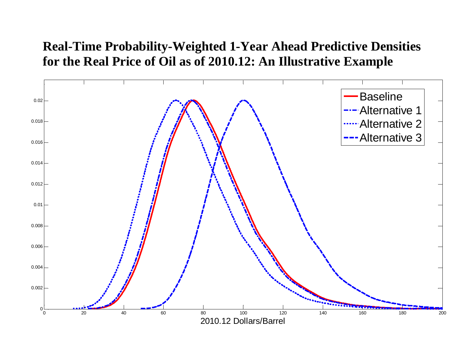#### **Real-Time Probability-Weighted 1-Year Ahead Predictive Densities for the Real Price of Oil as of 2010.12: An Illustrative Example**

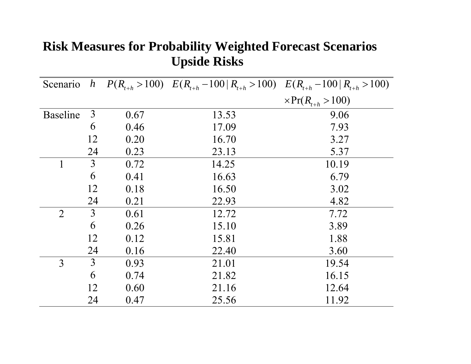| Scenario        |    |      | h $P(R_{t+h} > 100)$ $E(R_{t+h} - 100   R_{t+h} > 100)$ $E(R_{t+h} - 100   R_{t+h} > 100)$ |                            |
|-----------------|----|------|--------------------------------------------------------------------------------------------|----------------------------|
|                 |    |      |                                                                                            | $\times Pr(R_{t+h} > 100)$ |
| <b>Baseline</b> | 3  | 0.67 | 13.53                                                                                      | 9.06                       |
|                 | 6  | 0.46 | 17.09                                                                                      | 7.93                       |
|                 | 12 | 0.20 | 16.70                                                                                      | 3.27                       |
|                 | 24 | 0.23 | 23.13                                                                                      | 5.37                       |
|                 | 3  | 0.72 | 14.25                                                                                      | 10.19                      |
|                 | 6  | 0.41 | 16.63                                                                                      | 6.79                       |
|                 | 12 | 0.18 | 16.50                                                                                      | 3.02                       |
|                 | 24 | 0.21 | 22.93                                                                                      | 4.82                       |
| $\overline{2}$  | 3  | 0.61 | 12.72                                                                                      | 7.72                       |
|                 | 6  | 0.26 | 15.10                                                                                      | 3.89                       |
|                 | 12 | 0.12 | 15.81                                                                                      | 1.88                       |
|                 | 24 | 0.16 | 22.40                                                                                      | 3.60                       |
| 3               | 3  | 0.93 | 21.01                                                                                      | 19.54                      |
|                 | 6  | 0.74 | 21.82                                                                                      | 16.15                      |
|                 | 12 | 0.60 | 21.16                                                                                      | 12.64                      |
|                 | 24 | 0.47 | 25.56                                                                                      | 11.92                      |

#### **Risk Measures for Probability Weighted Forecast Scenarios Upside Risks**